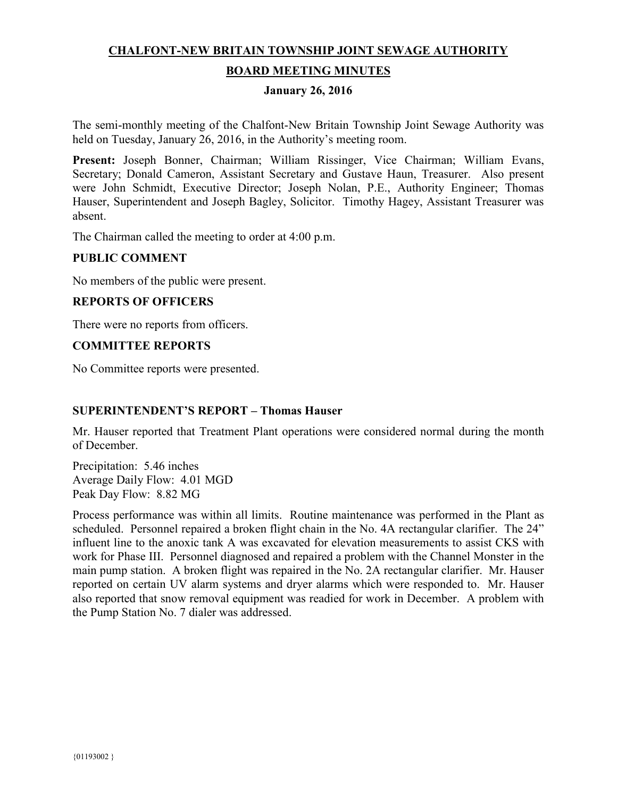# **CHALFONT-NEW BRITAIN TOWNSHIP JOINT SEWAGE AUTHORITY BOARD MEETING MINUTES**

# **January 26, 2016**

The semi-monthly meeting of the Chalfont-New Britain Township Joint Sewage Authority was held on Tuesday, January 26, 2016, in the Authority's meeting room.

**Present:** Joseph Bonner, Chairman; William Rissinger, Vice Chairman; William Evans, Secretary; Donald Cameron, Assistant Secretary and Gustave Haun, Treasurer. Also present were John Schmidt, Executive Director; Joseph Nolan, P.E., Authority Engineer; Thomas Hauser, Superintendent and Joseph Bagley, Solicitor. Timothy Hagey, Assistant Treasurer was absent.

The Chairman called the meeting to order at 4:00 p.m.

### **PUBLIC COMMENT**

No members of the public were present.

### **REPORTS OF OFFICERS**

There were no reports from officers.

#### **COMMITTEE REPORTS**

No Committee reports were presented.

#### **SUPERINTENDENT'S REPORT – Thomas Hauser**

Mr. Hauser reported that Treatment Plant operations were considered normal during the month of December.

Precipitation: 5.46 inches Average Daily Flow: 4.01 MGD Peak Day Flow: 8.82 MG

Process performance was within all limits. Routine maintenance was performed in the Plant as scheduled. Personnel repaired a broken flight chain in the No. 4A rectangular clarifier. The 24" influent line to the anoxic tank A was excavated for elevation measurements to assist CKS with work for Phase III. Personnel diagnosed and repaired a problem with the Channel Monster in the main pump station. A broken flight was repaired in the No. 2A rectangular clarifier. Mr. Hauser reported on certain UV alarm systems and dryer alarms which were responded to. Mr. Hauser also reported that snow removal equipment was readied for work in December. A problem with the Pump Station No. 7 dialer was addressed.